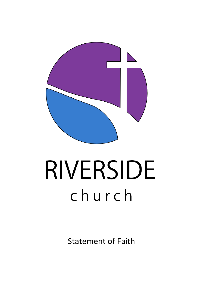

# RIVERSIDE church

Statement of Faith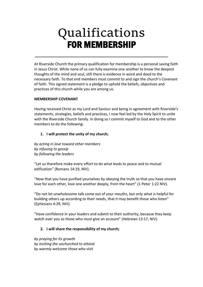# Qualifications FOR MEMBERSHIP

\_\_\_\_\_\_\_\_\_\_\_\_\_\_\_\_\_\_\_\_\_\_\_\_\_\_\_\_\_\_\_\_\_\_\_\_\_\_\_\_\_\_\_\_\_\_\_\_\_\_\_\_\_\_\_\_\_\_\_\_\_\_\_\_\_\_\_\_\_\_\_\_\_\_\_\_\_\_

At Riverside Church the primary qualification for membership is a personal saving faith in Jesus Christ. While none of us can fully examine one another to know the deepest thoughts of the mind and soul, still there is evidence in word and deed to the necessary faith. To that end members must commit to and sign the church's Covenant of faith. This signed statement is a pledge to uphold the beliefs, objectives and practices of this church while you are among us.

### **MEMBERSHIP COVENANT**

Having received Christ as my Lord and Saviour and being in agreement with Riverside's statements, strategies, beliefs and practices, I now feel led by the Holy Spirit to unite with the Riverside Church family. In doing so I commit myself to God and to the other members to do the following:

### **1. I will protect the unity of my church;**

*by acting in love toward other members by refusing to gossip by following the leaders*

"Let us therefore make every effort to do what leads to peace and to mutual edification" (Romans 14:19, NIV).

"Now that you have purified yourselves by obeying the truth so that you have sincere love for each other, love one another deeply, from the heart" (1 Peter 1:22 NIV).

"Do not let unwholesome talk come out of your mouths, but only what is helpful for building others up according to their needs, that it may benefit those who listen" (Ephesians 4:29, NIV).

"Have confidence in your leaders and submit to their authority, because they keep watch over you as those who must give an account" (Hebrews 13:17, NIV).

### **2. I will share the responsibility of my church;**

*by praying for its growth by inviting the unchurched to attend by warmly welcome those who visit*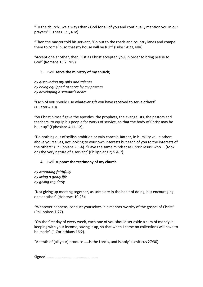"To the church…we always thank God for all of you and continually mention you in our prayers" (I Thess. 1:1, NIV)

"Then the master told his servant, 'Go out to the roads and country lanes and compel them to come in, so that my house will be full'" (Luke 14:23, NIV)

"Accept one another, then, just as Christ accepted you, in order to bring praise to God" (Romans 15:7, NIV)

### **3. I will serve the ministry of my church;**

*by discovering my gifts and talents by being equipped to serve by my pastors by developing a servant's heart*

"Each of you should use whatever gift you have received to serve others" (1 Peter 4:10).

"So Christ himself gave the apostles, the prophets, the evangelists, the pastors and teachers, to equip his people for works of service, so that the body of Christ may be built up" (Ephesians 4:11-12).

"Do nothing out of selfish ambition or vain conceit. Rather, in humility value others above yourselves, not looking to your own interests but each of you to the interests of the others" (Philippians 2:3-4). "Have the same mindset as Christ Jesus: who ….(took on) the very nature of a servant' (Philippians 2; 5 & 7).

### **4. I will support the testimony of my church**

*by attending faithfully by living a godly life by giving regularly*

"Not giving up meeting together, as some are in the habit of doing, but encouraging one another" (Hebrews 10:25).

"Whatever happens, conduct yourselves in a manner worthy of the gospel of Christ" (Philippians 1;27).

"On the first day of every week, each one of you should set aside a sum of money in keeping with your income, saving it up, so that when I come no collections will have to be made" (1 Corinthians 16:2).

"A tenth of [all your] produce …..is the Lord's, and is holy" (Leviticus 27:30).

Signed ……………………………………………….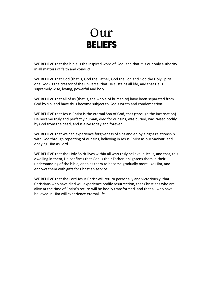### Our BELIEFS

\_\_\_\_\_\_\_\_\_\_\_\_\_\_\_\_\_\_\_\_\_\_\_\_\_\_\_\_\_\_\_\_\_\_\_\_\_\_\_\_\_\_\_\_\_\_\_\_\_\_\_\_\_\_\_\_\_\_\_\_\_\_\_\_\_\_\_\_\_\_\_\_\_\_\_\_\_\_

WE BELIEVE that the bible is the inspired word of God, and that it is our only authority in all matters of faith and conduct.

WE BELIEVE that God (that is, God the Father, God the Son and God the Holy Spirit – one God) is the creator of the universe, that He sustains all life, and that He is supremely wise, loving, powerful and holy.

WE BELIEVE that all of us (that is, the whole of humanity) have been separated from God by sin, and have thus become subject to God's wrath and condemnation.

WE BELIEVE that Jesus Christ is the eternal Son of God, that (through the incarnation) He became truly and perfectly human, died for our sins, was buried, was raised bodily by God from the dead, and is alive today and forever.

WE BELIEVE that we can experience forgiveness of sins and enjoy a right relationship with God through repenting of our sins, believing in Jesus Christ as our Saviour, and obeying Him as Lord.

WE BELIEVE that the Holy Spirit lives within all who truly believe in Jesus, and that, this dwelling in them, He confirms that God is their Father, enlightens them in their understanding of the bible, enables them to become gradually more like Him, and endows them with gifts for Christian service.

WE BELIEVE that the Lord Jesus Christ will return personally and victoriously, that Christians who have died will experience bodily resurrection, that Christians who are alive at the time of Christ's return will be bodily transformed, and that all who have believed in Him will experience eternal life.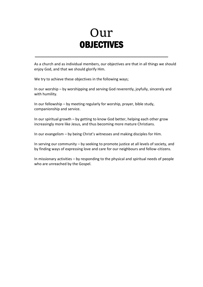### Our **OBJECTIVES**

\_\_\_\_\_\_\_\_\_\_\_\_\_\_\_\_\_\_\_\_\_\_\_\_\_\_\_\_\_\_\_\_\_\_\_\_\_\_\_\_\_\_\_\_\_\_\_\_\_\_\_\_\_\_\_\_\_\_\_\_\_\_\_\_\_\_\_\_\_\_\_\_\_\_\_\_\_\_

As a church and as individual members, our objectives are that in all things we should enjoy God, and that we should glorify Him.

We try to achieve these objectives in the following ways;

In our worship – by worshipping and serving God reverently, joyfully, sincerely and with humility.

In our fellowship – by meeting regularly for worship, prayer, bible study, companionship and service.

In our spiritual growth – by getting to know God better, helping each other grow increasingly more like Jesus, and thus becoming more mature Christians.

In our evangelism – by being Christ's witnesses and making disciples for Him.

In serving our community – by seeking to promote justice at all levels of society, and by finding ways of expressing love and care for our neighbours and fellow-citizens.

In missionary activities – by responding to the physical and spiritual needs of people who are unreached by the Gospel.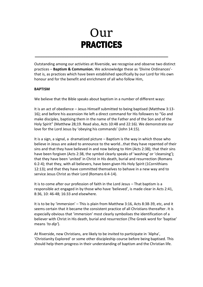## Our PRACTICES

\_\_\_\_\_\_\_\_\_\_\_\_\_\_\_\_\_\_\_\_\_\_\_\_\_\_\_\_\_\_\_\_\_\_\_\_\_\_\_\_\_\_\_\_\_\_\_\_\_\_\_\_\_\_\_\_\_\_\_\_\_\_\_\_\_\_\_\_\_\_\_\_\_\_\_\_\_\_

Outstanding among our activities at Riverside, we recognise and observe two distinct practices – **Baptism & Communion.** We acknowledge these as 'Divine Ordinances' that is, as practices which have been established specifically by our Lord for His own honour and for the benefit and enrichment of all who follow Him,

#### **BAPTISM**

We believe that the Bible speaks about baptism in a number of different ways:

It is an act of obedience – Jesus Himself submitted to being baptised (Matthew 3:13- 16); and before his ascension He left a direct command for His followers to "Go and make disciples, baptising them in the name of the Father and of the Son and of the Holy Spirit" (Matthew 28;19. Read also, Acts 10:48 and 22:16). We demonstrate our love for the Lord Jesus by 'obeying his commands' (John 14:15).

It is a sign, a signal, a dramatized picture – Baptism is the way in which those who believe in Jesus are asked to announce to the world…that they have repented of their sins and that they have believed in and now belong to Him (Acts 2:38); that their sins have been forgiven (Acts 2:38, the symbol clearly speaks of 'washing' or 'cleansing'); that they have been 'united' in Christ in His death, burial and resurrection (Romans 6:2-4); that they, with all believers, have been given His Holy Spirit (1Cornithians 12:13); and that they have committed themselves to behave in a new way and to service Jesus Christ as their Lord (Romans 6:4-14).

It is to come after our profession of faith in the Lord Jesus – That baptism is a responsible act engaged in by those who have 'believed', is made clear in Acts 2:41, 8:36, 10: 46-48; 16:33 and elsewhere.

It is to be by 'immersion' – This is plain from Matthew 3:16, Acts 8:38-39, etc, and it seems certain that it became the consistent practice of all Christians thereafter. It is especially obvious that 'immersion' most clearly symbolises the identification of a believer with Christ in His death, burial and resurrection (The Greek word for 'baptise' means *'to dip'*).

At Riverside, new Christians, are likely to be invited to participate in 'Alpha', 'Christianity Explored' or some other discipleship course before being baptised. This should help them progress in their understanding of baptism and the Christian life.